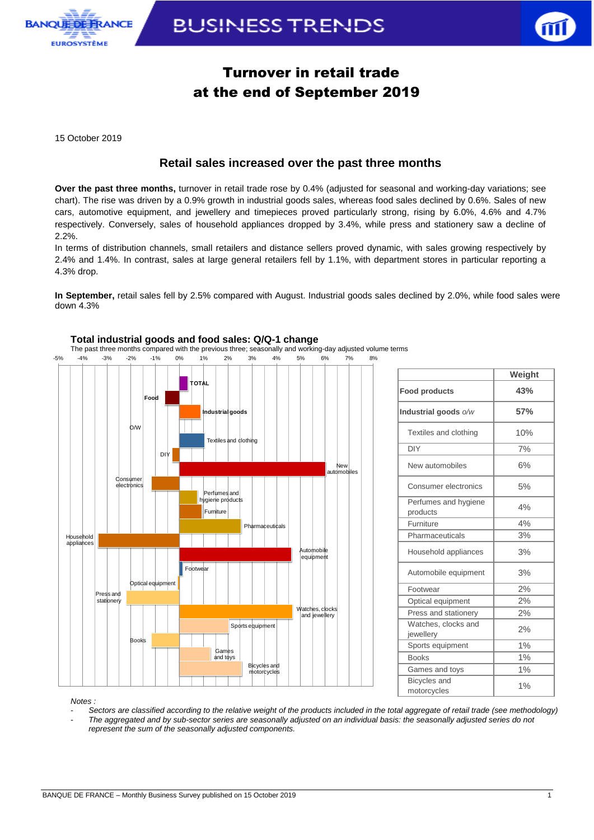

# **BUSINESS TRENDS**



## Turnover in retail trade at the end of September 2019

15 October 2019

### **Retail sales increased over the past three months**

**Over the past three months,** turnover in retail trade rose by 0.4% (adjusted for seasonal and working-day variations; see chart). The rise was driven by a 0.9% growth in industrial goods sales, whereas food sales declined by 0.6%. Sales of new cars, automotive equipment, and jewellery and timepieces proved particularly strong, rising by 6.0%, 4.6% and 4.7% respectively. Conversely, sales of household appliances dropped by 3.4%, while press and stationery saw a decline of 2.2%.

In terms of distribution channels, small retailers and distance sellers proved dynamic, with sales growing respectively by 2.4% and 1.4%. In contrast, sales at large general retailers fell by 1.1%, with department stores in particular reporting a 4.3% drop.

**In September,** retail sales fell by 2.5% compared with August. Industrial goods sales declined by 2.0%, while food sales were down 4.3%



## **Weight Food products 43% Industrial goods** *o/w* **57%** Textiles and clothing | 10% DIY 7% New automobiles 6% Consumer electronics | 5% Perfumes and hygiene | 4% Furniture 2% Pharmaceuticals | 3% Household appliances | 3% Automobile equipment | 3% Footwear 2% Optical equipment | 2% Press and stationery | 2% Watches, clocks and yvalcries, clocks and 2%<br>jewellery 2% Sports equipment 1% Books 1% Games and toys 1% Bicycles and motorcycles and 1%

*Notes :* 

*- Sectors are classified according to the relative weight of the products included in the total aggregate of retail trade (see methodology) - The aggregated and by sub-sector series are seasonally adjusted on an individual basis: the seasonally adjusted series do not represent the sum of the seasonally adjusted components.*